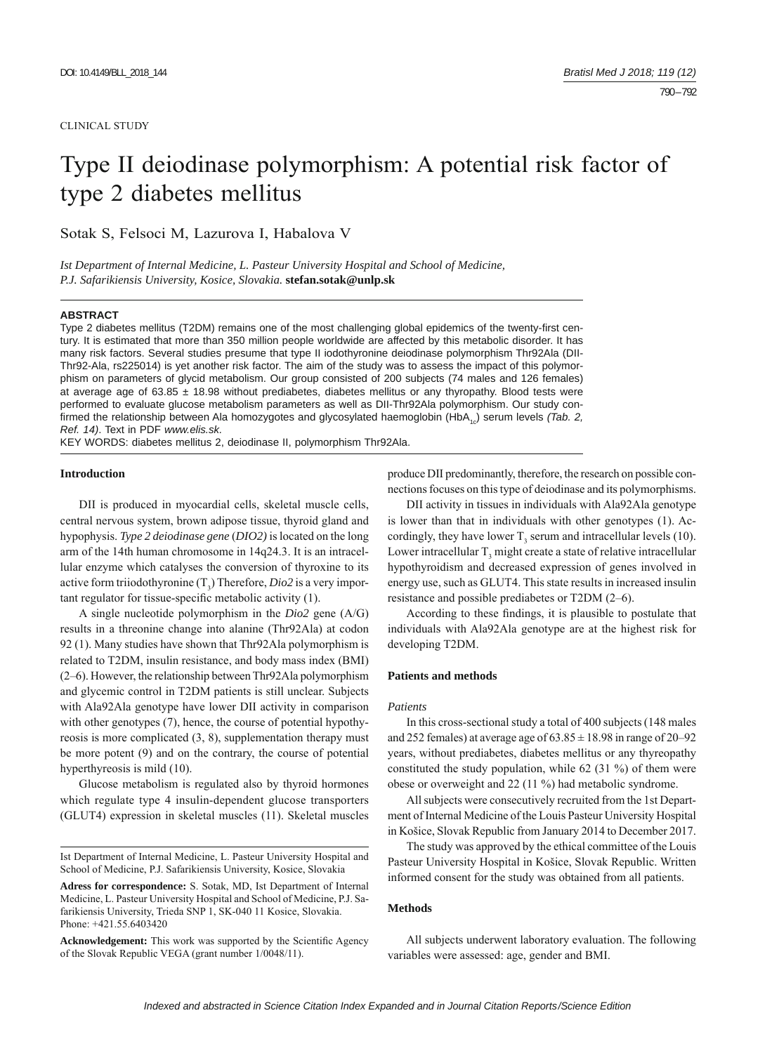#### CLINICAL STUDY

# Type II deiodinase polymorphism: A potential risk factor of type 2 diabetes mellitus

Sotak S, Felsoci M, Lazurova I, Habalova V

*Ist Department of Internal Medicine, L. Pasteur University Hospital and School of Medicine, P.J. Safarikiensis University, Kosice, Slovakia.* **stefan.sotak@unlp.sk**

#### **ABSTRACT**

Type 2 diabetes mellitus (T2DM) remains one of the most challenging global epidemics of the twenty-first century. It is estimated that more than 350 million people worldwide are affected by this metabolic disorder. It has many risk factors. Several studies presume that type II iodothyronine deiodinase polymorphism Thr92Ala (DII-Thr92-Ala, rs225014) is yet another risk factor. The aim of the study was to assess the impact of this polymorphism on parameters of glycid metabolism. Our group consisted of 200 subjects (74 males and 126 females) at average age of  $63.85 \pm 18.98$  without prediabetes, diabetes mellitus or any thyropathy. Blood tests were performed to evaluate glucose metabolism parameters as well as DII-Thr92Ala polymorphism. Our study confirmed the relationship between Ala homozygotes and glycosylated haemoglobin (HbA<sub>1c</sub>) serum levels *(Tab. 2, Ref. 14)*. Text in PDF *www.elis.sk.*

KEY WORDS: diabetes mellitus 2, deiodinase II, polymorphism Thr92Ala.

#### **Introduction**

DII is produced in myocardial cells, skeletal muscle cells, central nervous system, brown adipose tissue, thyroid gland and hypophysis. *Type 2 deiodinase gene* (*DIO2)* is located on the long arm of the 14th human chromosome in 14q24.3. It is an intracellular enzyme which catalyses the conversion of thyroxine to its active form triiodothyronine  $(T_3)$  Therefore, *Dio2* is a very important regulator for tissue-specific metabolic activity (1).

A single nucleotide polymorphism in the *Dio2* gene (A/G) results in a threonine change into alanine (Thr92Ala) at codon 92 (1). Many studies have shown that Thr92Ala polymorphism is related to T2DM, insulin resistance, and body mass index (BMI) (2–6). However, the relationship between Thr92Ala polymorphism and glycemic control in T2DM patients is still unclear. Subjects with Ala92Ala genotype have lower DII activity in comparison with other genotypes (7), hence, the course of potential hypothyreosis is more complicated (3, 8), supplementation therapy must be more potent (9) and on the contrary, the course of potential hyperthyreosis is mild (10).

Glucose metabolism is regulated also by thyroid hormones which regulate type 4 insulin-dependent glucose transporters (GLUT4) expression in skeletal muscles (11). Skeletal muscles

Ist Department of Internal Medicine, L. Pasteur University Hospital and School of Medicine, P.J. Safarikiensis University, Kosice, Slovakia

**Adress for correspondence:** S. Sotak, MD, Ist Department of Internal Medicine, L. Pasteur University Hospital and School of Medicine, P.J. Safarikiensis University, Trieda SNP 1, SK-040 11 Kosice, Slovakia. Phone: +421.55.6403420

Acknowledgement: This work was supported by the Scientific Agency of the Slovak Republic VEGA (grant number 1/0048/11).

produce DII predominantly, therefore, the research on possible connections focuses on this type of deiodinase and its polymorphisms.

DII activity in tissues in individuals with Ala92Ala genotype is lower than that in individuals with other genotypes (1). Accordingly, they have lower  $T_3$  serum and intracellular levels (10). Lower intracellular  $T_3$  might create a state of relative intracellular hypothyroidism and decreased expression of genes involved in energy use, such as GLUT4. This state results in increased insulin resistance and possible prediabetes or T2DM (2–6).

According to these findings, it is plausible to postulate that individuals with Ala92Ala genotype are at the highest risk for developing T2DM.

# **Patients and methods**

### *Patients*

In this cross-sectional study a total of 400 subjects (148 males and 252 females) at average age of  $63.85 \pm 18.98$  in range of 20–92 years, without prediabetes, diabetes mellitus or any thyreopathy constituted the study population, while 62 (31 %) of them were obese or overweight and 22 (11 %) had metabolic syndrome.

All subjects were consecutively recruited from the 1st Department of Internal Medicine of the Louis Pasteur University Hospital in Košice, Slovak Republic from January 2014 to December 2017.

The study was approved by the ethical committee of the Louis Pasteur University Hospital in Košice, Slovak Republic. Written informed consent for the study was obtained from all patients.

# **Methods**

All subjects underwent laboratory evaluation. The following variables were assessed: age, gender and BMI.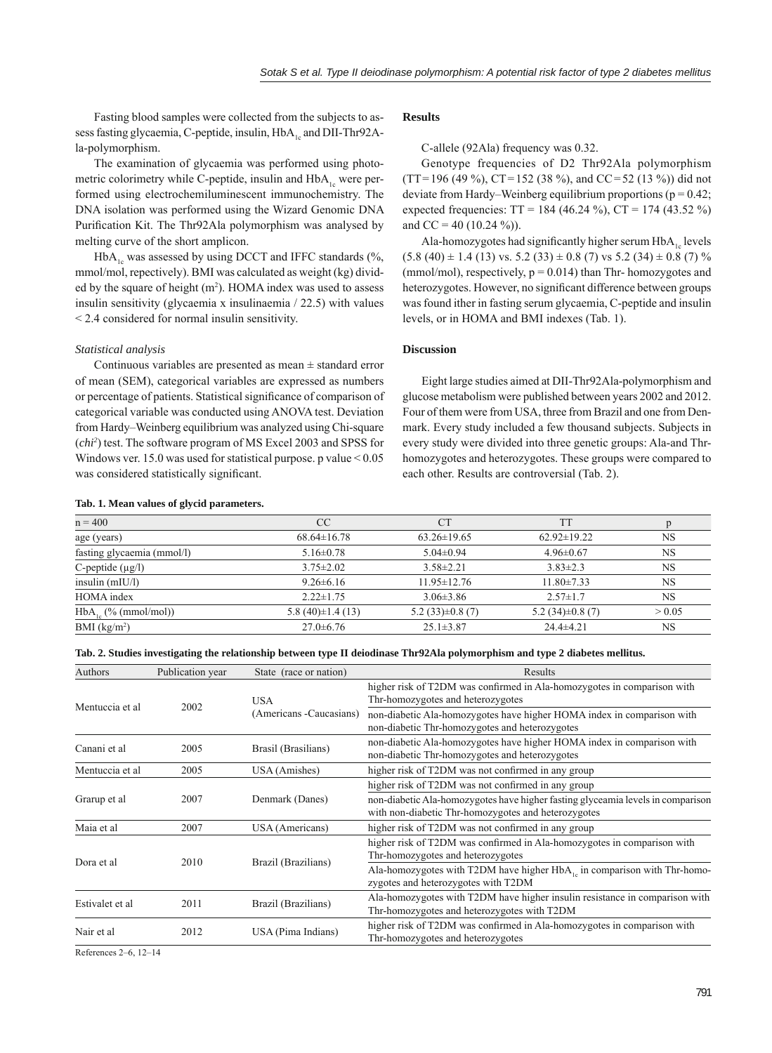Fasting blood samples were collected from the subjects to assess fasting glycaemia, C-peptide, insulin, HbA<sub>1</sub> and DII-Thr92Ala-polymorphism.

The examination of glycaemia was performed using photometric colorimetry while C-peptide, insulin and  $HbA_{1}$  were performed using electrochemiluminescent immunochemistry. The DNA isolation was performed using the Wizard Genomic DNA Purification Kit. The Thr92Ala polymorphism was analysed by melting curve of the short amplicon.

HbA<sub>1c</sub> was assessed by using DCCT and IFFC standards (%, mmol/mol, repectively). BMI was calculated as weight (kg) divided by the square of height  $(m<sup>2</sup>)$ . HOMA index was used to assess insulin sensitivity (glycaemia x insulinaemia / 22.5) with values < 2.4 considered for normal insulin sensitivity.

# *Statistical analysis*

Continuous variables are presented as mean  $\pm$  standard error of mean (SEM), categorical variables are expressed as numbers or percentage of patients. Statistical significance of comparison of categorical variable was conducted using ANOVA test. Deviation from Hardy–Weinberg equilibrium was analyzed using Chi-square (*chi2* ) test. The software program of MS Excel 2003 and SPSS for Windows ver. 15.0 was used for statistical purpose. p value < 0.05 was considered statistically significant.

#### **Tab. 1. Mean values of glycid parameters.**

# **Results**

C-allele (92Ala) frequency was 0.32.

Genotype frequencies of D2 Thr92Ala polymorphism  $(TT = 196 (49 \%)$ ,  $CT = 152 (38 \%)$ , and  $CC = 52 (13 \%)$  did not deviate from Hardy–Weinberg equilibrium proportions ( $p = 0.42$ ; expected frequencies:  $TT = 184 (46.24 \%)$ ,  $CT = 174 (43.52 \%)$ and CC = 40 (10.24 %)).

Ala-homozygotes had significantly higher serum HbA<sub>1</sub> levels  $(5.8 (40) \pm 1.4 (13) \text{ vs. } 5.2 (33) \pm 0.8 (7) \text{ vs } 5.2 (34) \pm 0.8 (7) \%$ (mmol/mol), respectively,  $p = 0.014$ ) than Thr- homozygotes and heterozygotes. However, no significant difference between groups was found ither in fasting serum glycaemia, C-peptide and insulin levels, or in HOMA and BMI indexes (Tab. 1).

# **Discussion**

Eight large studies aimed at DII-Thr92Ala-polymorphism and glucose metabolism were published between years 2002 and 2012. Four of them were from USA, three from Brazil and one from Denmark. Every study included a few thousand subjects. Subjects in every study were divided into three genetic groups: Ala-and Thrhomozygotes and heterozygotes. These groups were compared to each other. Results are controversial (Tab. 2).

| $n = 400$                  | CC                      | <b>CT</b>            | <b>TT</b>            |           |
|----------------------------|-------------------------|----------------------|----------------------|-----------|
| age (years)                | $68.64 \pm 16.78$       | $63.26 \pm 19.65$    | $62.92 \pm 19.22$    | NS.       |
| fasting glycaemia (mmol/l) | $5.16 \pm 0.78$         | $5.04\pm0.94$        | $4.96 \pm 0.67$      | NS.       |
| C-peptide $(\mu g/l)$      | $3.75 \pm 2.02$         | $3.58 \pm 2.21$      | $3.83\pm2.3$         | NS.       |
| insulin $(mIU/l)$          | $9.26 \pm 6.16$         | $11.95 \pm 12.76$    | $11.80 \pm 7.33$     | <b>NS</b> |
| HOMA index                 | $2.22 \pm 1.75$         | $3.06 \pm 3.86$      | $2.57 \pm 1.7$       | NS        |
| $HbA_{1}$ (% (mmol/mol))   | 5.8 $(40) \pm 1.4$ (13) | $5.2(33) \pm 0.8(7)$ | $5.2(34) \pm 0.8(7)$ | > 0.05    |
| $BMI$ (kg/m <sup>2</sup> ) | $27.0 \pm 6.76$         | $25.1 \pm 3.87$      | $24.4\pm 4.21$       | <b>NS</b> |

**Tab. 2. Studies investigating the relationship between type II deiodinase Thr92Ala polymorphism and type 2 diabetes mellitus.**

| Authors         | Publication year | State (race or nation)                | Results                                                                                                                                |  |
|-----------------|------------------|---------------------------------------|----------------------------------------------------------------------------------------------------------------------------------------|--|
| Mentuccia et al | 2002             | <b>USA</b><br>(Americans -Caucasians) | higher risk of T2DM was confirmed in Ala-homozygotes in comparison with<br>Thr-homozygotes and heterozygotes                           |  |
|                 |                  |                                       | non-diabetic Ala-homozygotes have higher HOMA index in comparison with<br>non-diabetic Thr-homozygotes and heterozygotes               |  |
| Canani et al    | 2005             | Brasil (Brasilians)                   | non-diabetic Ala-homozygotes have higher HOMA index in comparison with<br>non-diabetic Thr-homozygotes and heterozygotes               |  |
| Mentuccia et al | 2005             | USA (Amishes)                         | higher risk of T2DM was not confirmed in any group                                                                                     |  |
| Grarup et al    | 2007             | Denmark (Danes)                       | higher risk of T2DM was not confirmed in any group                                                                                     |  |
|                 |                  |                                       | non-diabetic Ala-homozygotes have higher fasting glyceamia levels in comparison<br>with non-diabetic Thr-homozygotes and heterozygotes |  |
| Maia et al      | 2007             | USA (Americans)                       | higher risk of T2DM was not confirmed in any group                                                                                     |  |
| Dora et al      | 2010             | Brazil (Brazilians)                   | higher risk of T2DM was confirmed in Ala-homozygotes in comparison with<br>Thr-homozygotes and heterozygotes                           |  |
|                 |                  |                                       | Ala-homozygotes with T2DM have higher $HbA_{1c}$ in comparison with Thr-homo-<br>zygotes and heterozygotes with T2DM                   |  |
| Estivalet et al | 2011             | Brazil (Brazilians)                   | Ala-homozygotes with T2DM have higher insulin resistance in comparison with<br>Thr-homozygotes and heterozygotes with T2DM             |  |
| Nair et al      | 2012             | USA (Pima Indians)                    | higher risk of T2DM was confirmed in Ala-homozygotes in comparison with<br>Thr-homozygotes and heterozygotes                           |  |

References 2–6, 12–14